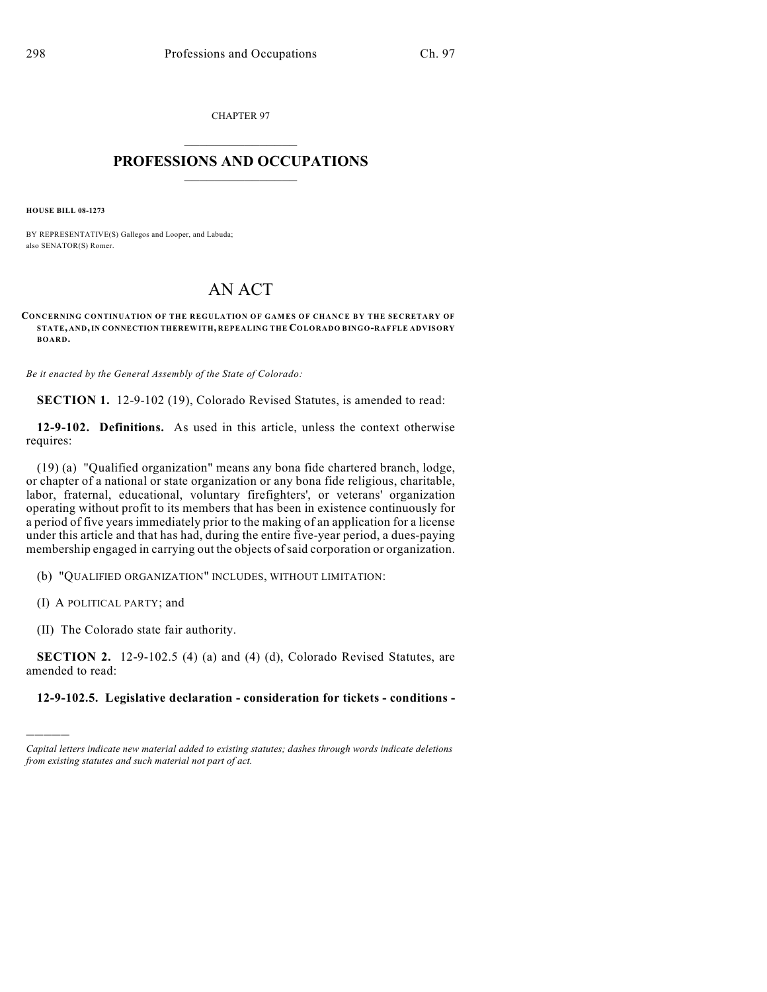CHAPTER 97

## $\overline{\phantom{a}}$  . The set of the set of the set of the set of the set of the set of the set of the set of the set of the set of the set of the set of the set of the set of the set of the set of the set of the set of the set o **PROFESSIONS AND OCCUPATIONS**  $\frac{1}{2}$  ,  $\frac{1}{2}$  ,  $\frac{1}{2}$  ,  $\frac{1}{2}$  ,  $\frac{1}{2}$  ,  $\frac{1}{2}$

**HOUSE BILL 08-1273**

BY REPRESENTATIVE(S) Gallegos and Looper, and Labuda; also SENATOR(S) Romer.

## AN ACT

**CONCERNING CONTINUATION OF THE REGULATION OF GAMES OF CHANCE BY THE SECRETARY OF STATE, AND, IN CONNECTION THEREWITH, REPEALING THE COLORADO BINGO-RAFFLE ADVISORY BOARD.**

*Be it enacted by the General Assembly of the State of Colorado:*

**SECTION 1.** 12-9-102 (19), Colorado Revised Statutes, is amended to read:

**12-9-102. Definitions.** As used in this article, unless the context otherwise requires:

(19) (a) "Qualified organization" means any bona fide chartered branch, lodge, or chapter of a national or state organization or any bona fide religious, charitable, labor, fraternal, educational, voluntary firefighters', or veterans' organization operating without profit to its members that has been in existence continuously for a period of five years immediately prior to the making of an application for a license under this article and that has had, during the entire five-year period, a dues-paying membership engaged in carrying out the objects of said corporation or organization.

(b) "QUALIFIED ORGANIZATION" INCLUDES, WITHOUT LIMITATION:

(I) A POLITICAL PARTY; and

)))))

(II) The Colorado state fair authority.

**SECTION 2.** 12-9-102.5 (4) (a) and (4) (d), Colorado Revised Statutes, are amended to read:

## **12-9-102.5. Legislative declaration - consideration for tickets - conditions -**

*Capital letters indicate new material added to existing statutes; dashes through words indicate deletions from existing statutes and such material not part of act.*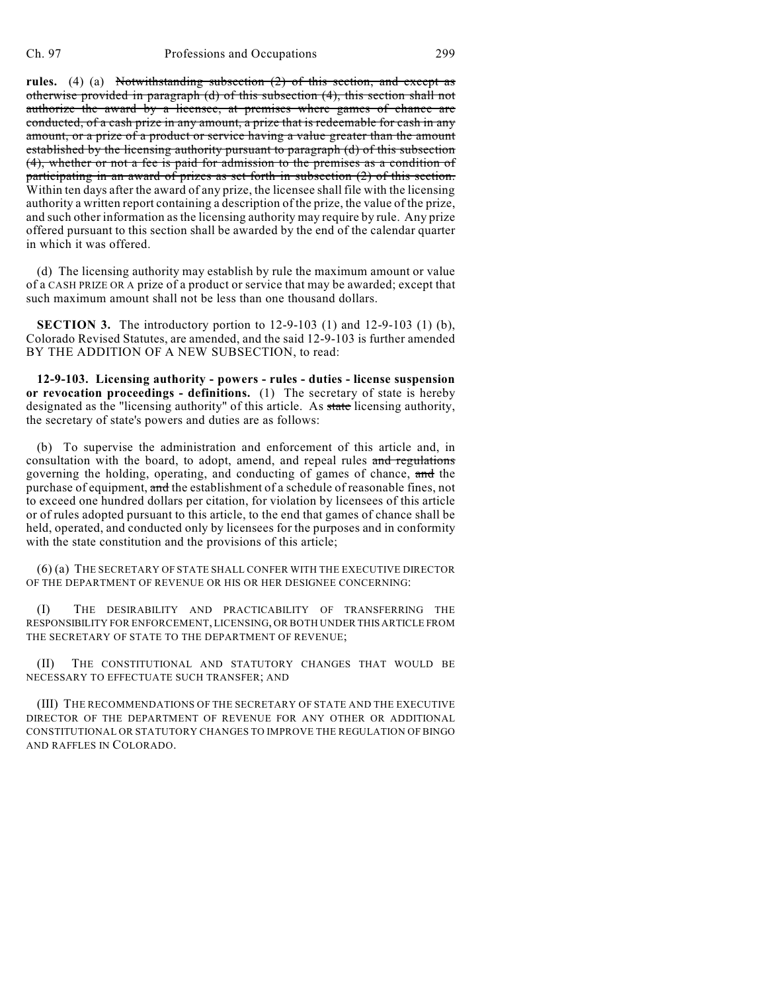**rules.** (4) (a) Notwithstanding subsection (2) of this section, and except as otherwise provided in paragraph (d) of this subsection (4), this section shall not authorize the award by a licensee, at premises where games of chance are conducted, of a cash prize in any amount, a prize that is redeemable for cash in any amount, or a prize of a product or service having a value greater than the amount established by the licensing authority pursuant to paragraph (d) of this subsection (4), whether or not a fee is paid for admission to the premises as a condition of participating in an award of prizes as set forth in subsection (2) of this section. Within ten days after the award of any prize, the licensee shall file with the licensing authority a written report containing a description of the prize, the value of the prize, and such other information as the licensing authority may require by rule. Any prize offered pursuant to this section shall be awarded by the end of the calendar quarter in which it was offered.

(d) The licensing authority may establish by rule the maximum amount or value of a CASH PRIZE OR A prize of a product or service that may be awarded; except that such maximum amount shall not be less than one thousand dollars.

**SECTION 3.** The introductory portion to 12-9-103 (1) and 12-9-103 (1) (b), Colorado Revised Statutes, are amended, and the said 12-9-103 is further amended BY THE ADDITION OF A NEW SUBSECTION, to read:

**12-9-103. Licensing authority - powers - rules - duties - license suspension or revocation proceedings - definitions.** (1) The secretary of state is hereby designated as the "licensing authority" of this article. As state licensing authority, the secretary of state's powers and duties are as follows:

(b) To supervise the administration and enforcement of this article and, in consultation with the board, to adopt, amend, and repeal rules and regulations governing the holding, operating, and conducting of games of chance, and the purchase of equipment, and the establishment of a schedule of reasonable fines, not to exceed one hundred dollars per citation, for violation by licensees of this article or of rules adopted pursuant to this article, to the end that games of chance shall be held, operated, and conducted only by licensees for the purposes and in conformity with the state constitution and the provisions of this article;

(6) (a) THE SECRETARY OF STATE SHALL CONFER WITH THE EXECUTIVE DIRECTOR OF THE DEPARTMENT OF REVENUE OR HIS OR HER DESIGNEE CONCERNING:

(I) THE DESIRABILITY AND PRACTICABILITY OF TRANSFERRING THE RESPONSIBILITY FOR ENFORCEMENT, LICENSING, OR BOTH UNDER THIS ARTICLE FROM THE SECRETARY OF STATE TO THE DEPARTMENT OF REVENUE;

(II) THE CONSTITUTIONAL AND STATUTORY CHANGES THAT WOULD BE NECESSARY TO EFFECTUATE SUCH TRANSFER; AND

(III) THE RECOMMENDATIONS OF THE SECRETARY OF STATE AND THE EXECUTIVE DIRECTOR OF THE DEPARTMENT OF REVENUE FOR ANY OTHER OR ADDITIONAL CONSTITUTIONAL OR STATUTORY CHANGES TO IMPROVE THE REGULATION OF BINGO AND RAFFLES IN COLORADO.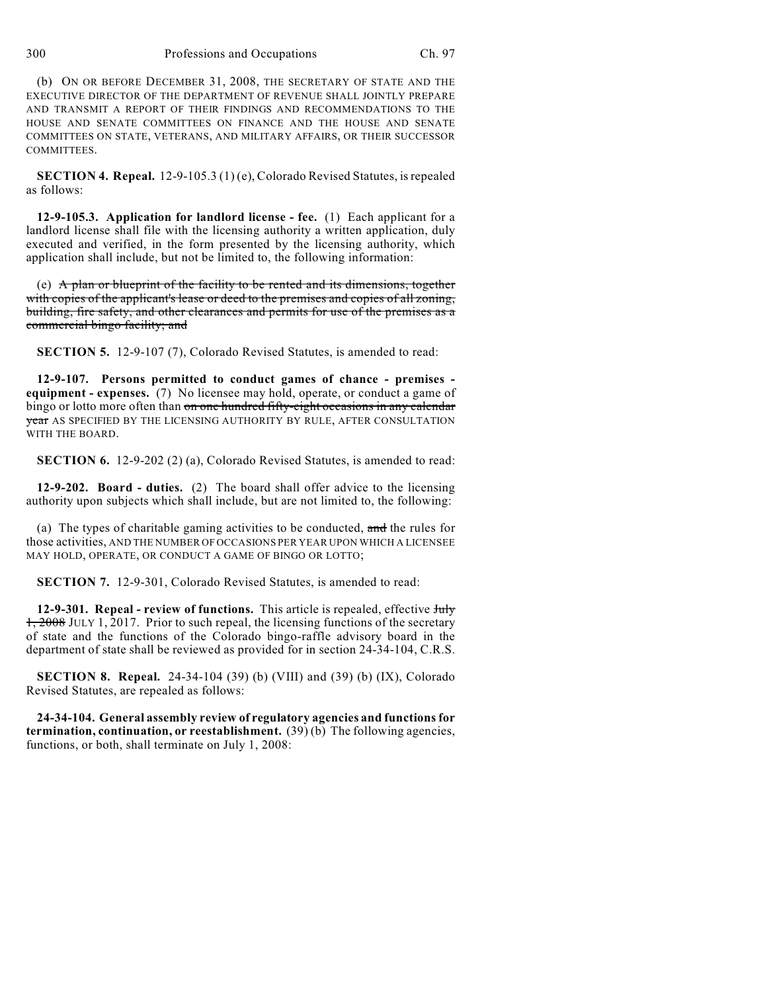(b) ON OR BEFORE DECEMBER 31, 2008, THE SECRETARY OF STATE AND THE EXECUTIVE DIRECTOR OF THE DEPARTMENT OF REVENUE SHALL JOINTLY PREPARE AND TRANSMIT A REPORT OF THEIR FINDINGS AND RECOMMENDATIONS TO THE HOUSE AND SENATE COMMITTEES ON FINANCE AND THE HOUSE AND SENATE COMMITTEES ON STATE, VETERANS, AND MILITARY AFFAIRS, OR THEIR SUCCESSOR COMMITTEES.

**SECTION 4. Repeal.** 12-9-105.3 (1) (e), Colorado Revised Statutes, is repealed as follows:

**12-9-105.3. Application for landlord license - fee.** (1) Each applicant for a landlord license shall file with the licensing authority a written application, duly executed and verified, in the form presented by the licensing authority, which application shall include, but not be limited to, the following information:

(e) A plan or blueprint of the facility to be rented and its dimensions, together with copies of the applicant's lease or deed to the premises and copies of all zoning, building, fire safety, and other clearances and permits for use of the premises as a commercial bingo facility; and

**SECTION 5.** 12-9-107 (7), Colorado Revised Statutes, is amended to read:

**12-9-107. Persons permitted to conduct games of chance - premises equipment - expenses.** (7) No licensee may hold, operate, or conduct a game of bingo or lotto more often than on one hundred fifty-eight occasions in any calendar year AS SPECIFIED BY THE LICENSING AUTHORITY BY RULE, AFTER CONSULTATION WITH THE BOARD.

**SECTION 6.** 12-9-202 (2) (a), Colorado Revised Statutes, is amended to read:

**12-9-202. Board - duties.** (2) The board shall offer advice to the licensing authority upon subjects which shall include, but are not limited to, the following:

(a) The types of charitable gaming activities to be conducted,  $\frac{d}{dt}$  and the rules for those activities, AND THE NUMBER OF OCCASIONS PER YEAR UPON WHICH A LICENSEE MAY HOLD, OPERATE, OR CONDUCT A GAME OF BINGO OR LOTTO;

**SECTION 7.** 12-9-301, Colorado Revised Statutes, is amended to read:

**12-9-301. Repeal - review of functions.** This article is repealed, effective July 1, 2008 JULY 1, 2017. Prior to such repeal, the licensing functions of the secretary of state and the functions of the Colorado bingo-raffle advisory board in the department of state shall be reviewed as provided for in section 24-34-104, C.R.S.

**SECTION 8. Repeal.** 24-34-104 (39) (b) (VIII) and (39) (b) (IX), Colorado Revised Statutes, are repealed as follows:

**24-34-104. General assembly review of regulatory agencies and functions for termination, continuation, or reestablishment.** (39) (b) The following agencies, functions, or both, shall terminate on July 1, 2008: